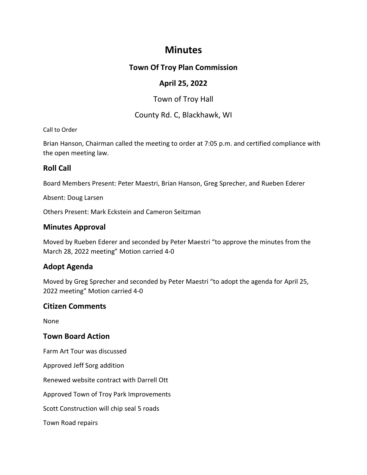# **Minutes**

# **Town Of Troy Plan Commission**

# **April 25, 2022**

# Town of Troy Hall

### County Rd. C, Blackhawk, WI

### Call to Order

Brian Hanson, Chairman called the meeting to order at 7:05 p.m. and certified compliance with the open meeting law.

# **Roll Call**

Board Members Present: Peter Maestri, Brian Hanson, Greg Sprecher, and Rueben Ederer

Absent: Doug Larsen

Others Present: Mark Eckstein and Cameron Seitzman

# **Minutes Approval**

Moved by Rueben Ederer and seconded by Peter Maestri "to approve the minutes from the March 28, 2022 meeting" Motion carried 4-0

# **Adopt Agenda**

Moved by Greg Sprecher and seconded by Peter Maestri "to adopt the agenda for April 25, 2022 meeting" Motion carried 4-0

# **Citizen Comments**

None

# **Town Board Action**

Farm Art Tour was discussed

Approved Jeff Sorg addition

Renewed website contract with Darrell Ott

Approved Town of Troy Park Improvements

Scott Construction will chip seal 5 roads

Town Road repairs